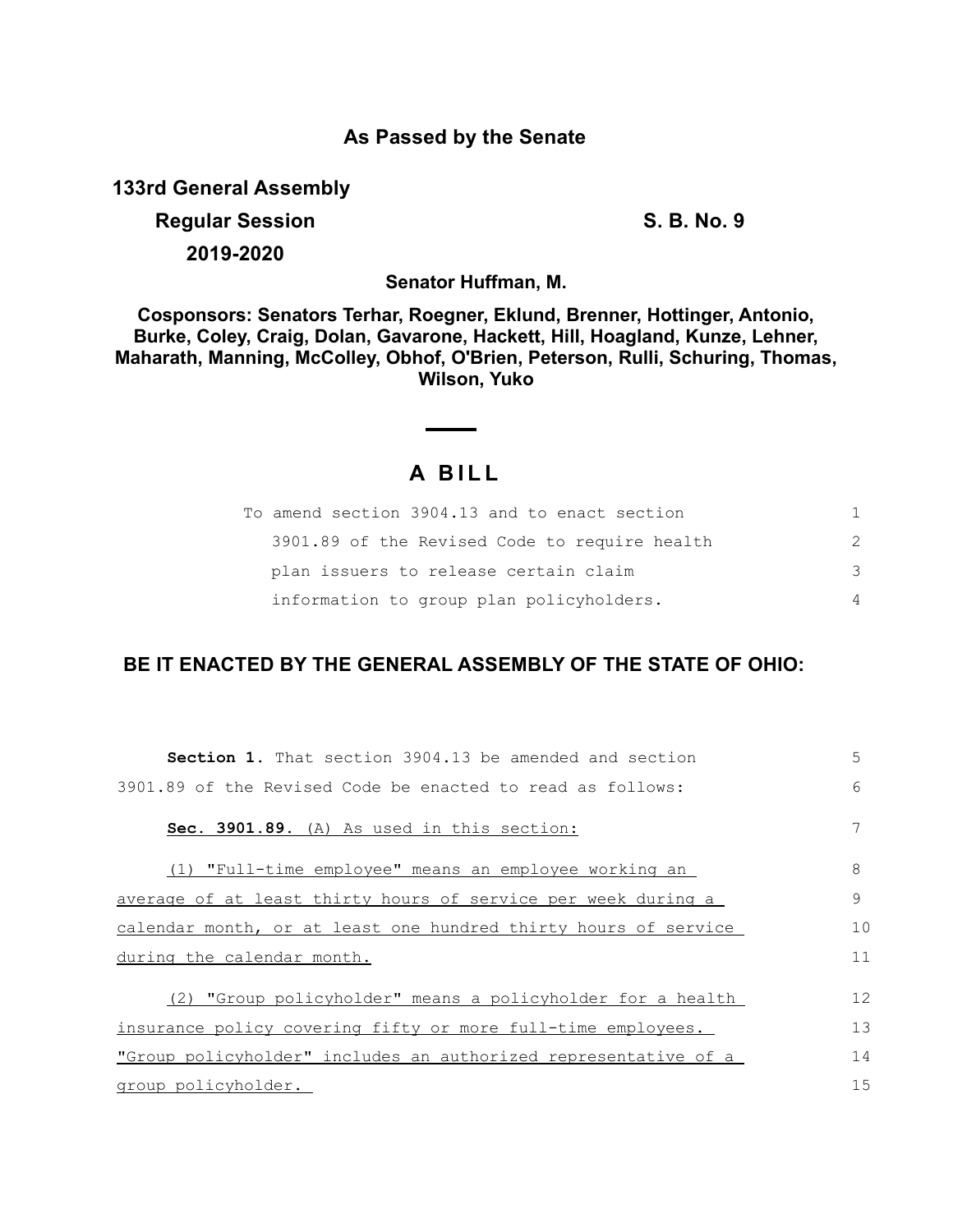### **As Passed by the Senate**

**133rd General Assembly**

# **Regular Session S. B. No. 9**

**2019-2020**

**Senator Huffman, M.**

**Cosponsors: Senators Terhar, Roegner, Eklund, Brenner, Hottinger, Antonio, Burke, Coley, Craig, Dolan, Gavarone, Hackett, Hill, Hoagland, Kunze, Lehner, Maharath, Manning, McColley, Obhof, O'Brien, Peterson, Rulli, Schuring, Thomas, Wilson, Yuko**

# **A B I L L**

| To amend section 3904.13 and to enact section | 1.            |
|-----------------------------------------------|---------------|
| 3901.89 of the Revised Code to require health | $\mathcal{P}$ |
| plan issuers to release certain claim         | 3             |
| information to group plan policyholders.      | $\Delta$      |

## **BE IT ENACTED BY THE GENERAL ASSEMBLY OF THE STATE OF OHIO:**

| <b>Section 1.</b> That section 3904.13 be amended and section   | 5             |
|-----------------------------------------------------------------|---------------|
| 3901.89 of the Revised Code be enacted to read as follows:      | 6             |
| Sec. 3901.89. (A) As used in this section:                      |               |
| (1) "Full-time employee" means an employee working an           | 8             |
| average of at least thirty hours of service per week during a   | $\mathcal{Q}$ |
| calendar month, or at least one hundred thirty hours of service | 10            |
| during the calendar month.                                      | 11            |
| (2) "Group policyholder" means a policyholder for a health      | 12            |
| insurance policy covering fifty or more full-time employees.    | 13            |
| "Group policyholder" includes an authorized representative of a | 14            |
| group policyholder.                                             | 15            |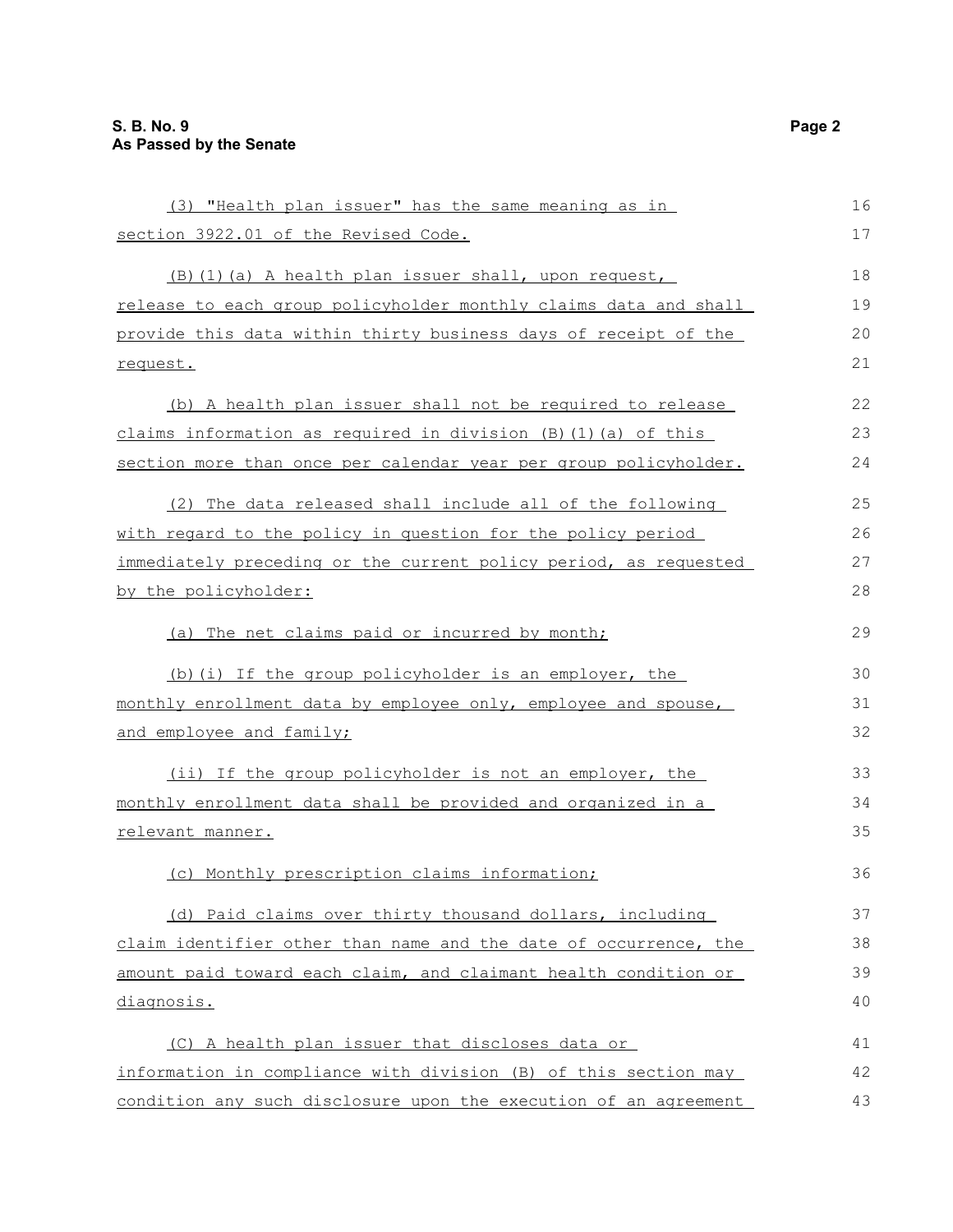| (3) "Health plan issuer" has the same meaning as in                  | 16 |
|----------------------------------------------------------------------|----|
| section 3922.01 of the Revised Code.                                 | 17 |
| (B) (1) (a) A health plan issuer shall, upon request,                | 18 |
| release to each group policyholder monthly claims data and shall     | 19 |
| provide this data within thirty business days of receipt of the      | 20 |
| request.                                                             | 21 |
| (b) A health plan issuer shall not be required to release            | 22 |
| claims information as required in division $(B)$ $(1)$ $(a)$ of this | 23 |
| section more than once per calendar year per group policyholder.     | 24 |
| (2) The data released shall include all of the following             | 25 |
| with regard to the policy in question for the policy period          | 26 |
| immediately preceding or the current policy period, as requested     | 27 |
| by the policyholder:                                                 | 28 |
| (a) The net claims paid or incurred by month;                        | 29 |
| (b) (i) If the group policyholder is an employer, the                | 30 |
| monthly enrollment data by employee only, employee and spouse,       | 31 |
| <u>and employee and family;</u>                                      | 32 |
| (ii) If the group policyholder is not an employer, the               | 33 |
| monthly enrollment data shall be provided and organized in a         | 34 |
| relevant manner.                                                     | 35 |
| (c) Monthly prescription claims information;                         | 36 |
| (d) Paid claims over thirty thousand dollars, including              | 37 |
| claim identifier other than name and the date of occurrence, the     | 38 |
| amount paid toward each claim, and claimant health condition or      | 39 |
| diagnosis.                                                           | 40 |
| (C) A health plan issuer that discloses data or                      | 41 |
| information in compliance with division (B) of this section may      | 42 |
| condition any such disclosure upon the execution of an agreement     | 43 |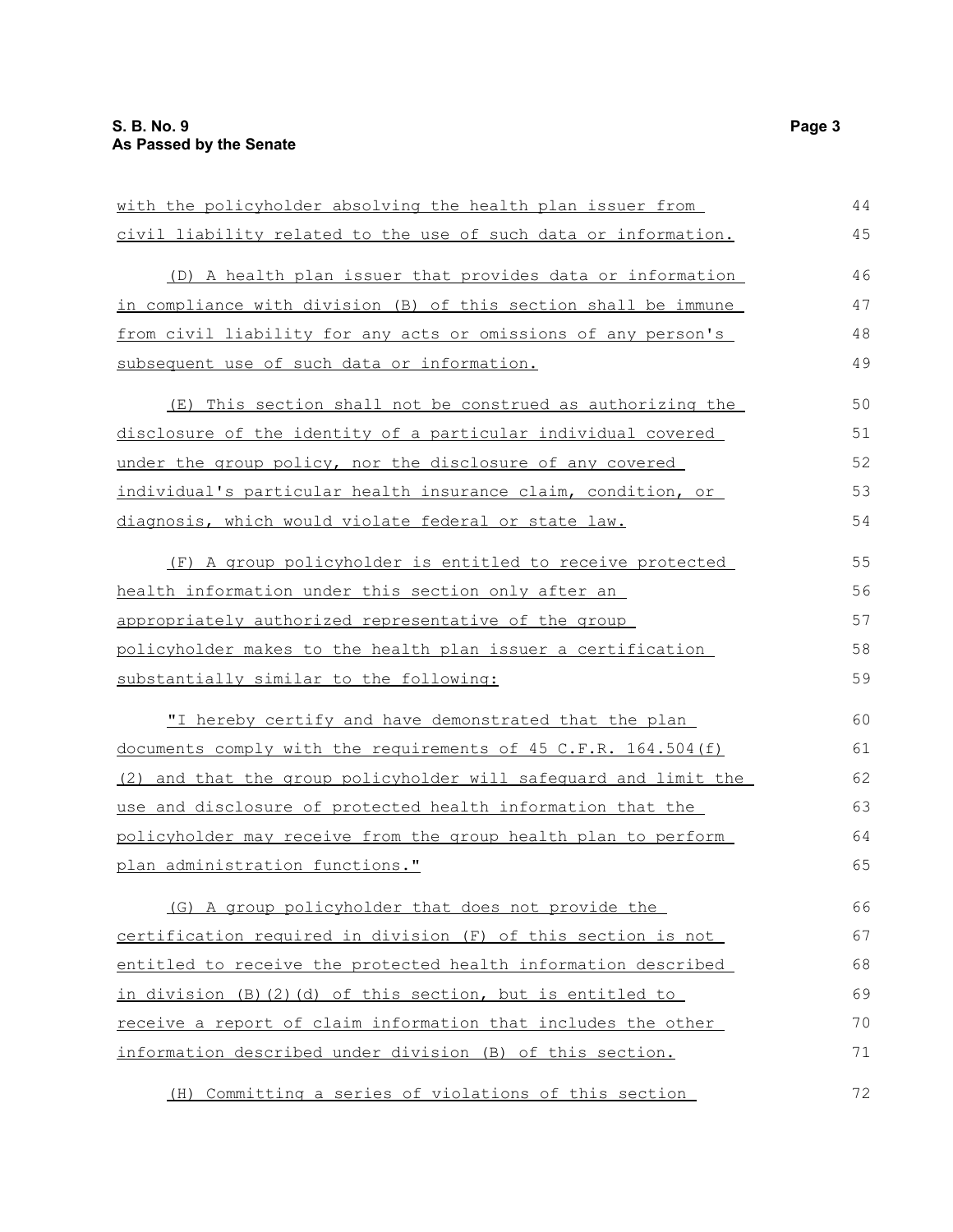| with the policyholder absolving the health plan issuer from      | 44 |
|------------------------------------------------------------------|----|
| civil liability related to the use of such data or information.  | 45 |
| (D) A health plan issuer that provides data or information       | 46 |
| in compliance with division (B) of this section shall be immune  | 47 |
| from civil liability for any acts or omissions of any person's   | 48 |
| subsequent use of such data or information.                      | 49 |
| (E) This section shall not be construed as authorizing the       | 50 |
| disclosure of the identity of a particular individual covered    | 51 |
| under the group policy, nor the disclosure of any covered        | 52 |
| individual's particular health insurance claim, condition, or    | 53 |
| diagnosis, which would violate federal or state law.             | 54 |
| (F) A group policyholder is entitled to receive protected        | 55 |
| health information under this section only after an              | 56 |
| appropriately authorized representative of the group             | 57 |
| policyholder makes to the health plan issuer a certification     | 58 |
| substantially similar to the following:                          | 59 |
| "I hereby certify and have demonstrated that the plan            | 60 |
| documents comply with the requirements of 45 C.F.R. 164.504 (f)  | 61 |
| (2) and that the group policyholder will safeguard and limit the | 62 |
| use and disclosure of protected health information that the      | 63 |
| policyholder may receive from the group health plan to perform   | 64 |
| plan administration functions."                                  | 65 |
| (G) A group policyholder that does not provide the               | 66 |
| certification required in division (F) of this section is not    | 67 |
| entitled to receive the protected health information described   | 68 |
| in division (B) (2) (d) of this section, but is entitled to      | 69 |
| receive a report of claim information that includes the other    | 70 |
| information described under division (B) of this section.        | 71 |
| (H) Committing a series of violations of this section            | 72 |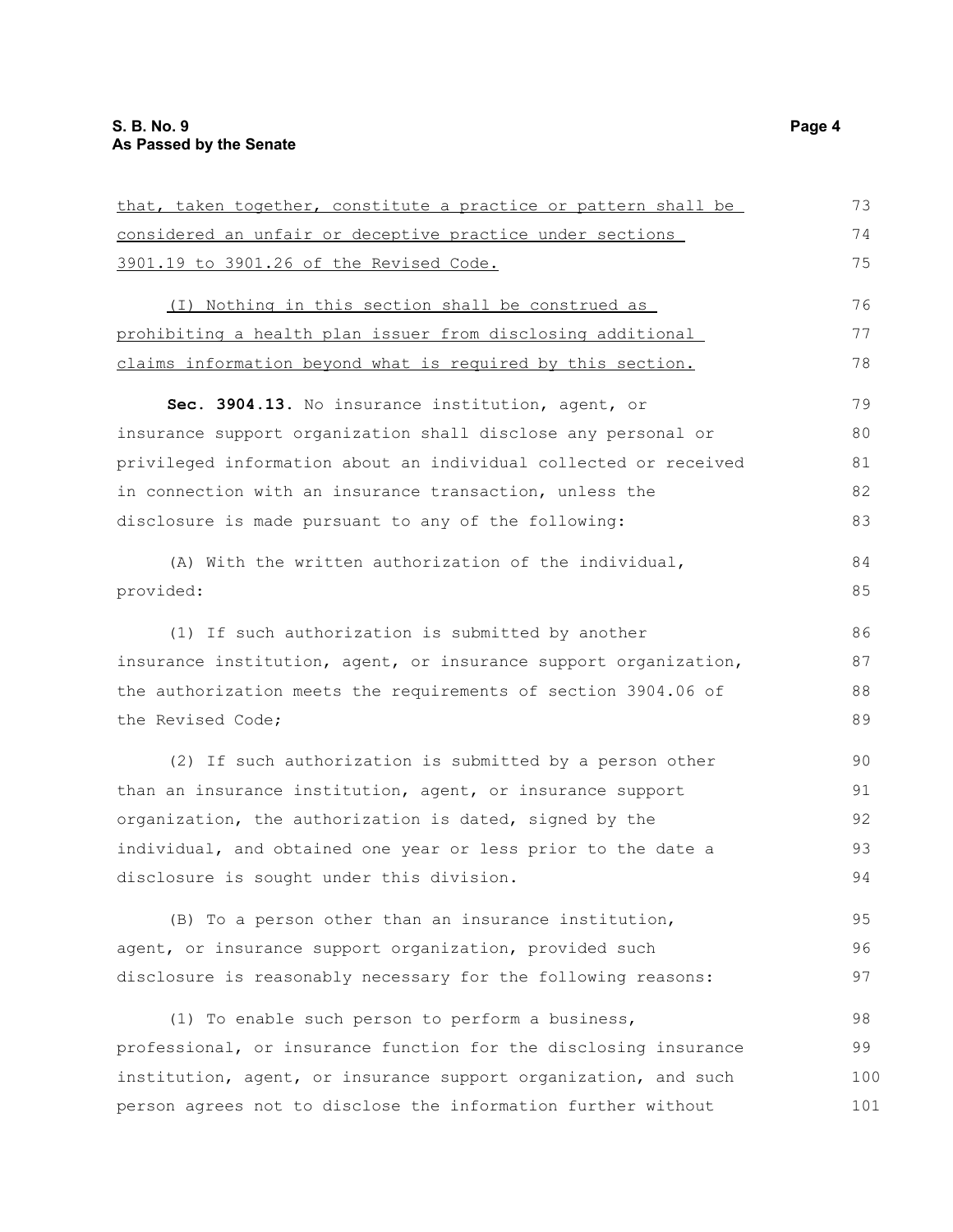| that, taken together, constitute a practice or pattern shall be  | 73  |
|------------------------------------------------------------------|-----|
| considered an unfair or deceptive practice under sections        | 74  |
| 3901.19 to 3901.26 of the Revised Code.                          | 75  |
| (I) Nothing in this section shall be construed as                | 76  |
| prohibiting a health plan issuer from disclosing additional      | 77  |
| claims information beyond what is required by this section.      | 78  |
|                                                                  |     |
| Sec. 3904.13. No insurance institution, agent, or                | 79  |
| insurance support organization shall disclose any personal or    | 80  |
| privileged information about an individual collected or received | 81  |
| in connection with an insurance transaction, unless the          | 82  |
| disclosure is made pursuant to any of the following:             | 83  |
| (A) With the written authorization of the individual,            | 84  |
| provided:                                                        | 85  |
|                                                                  |     |
| (1) If such authorization is submitted by another                | 86  |
| insurance institution, agent, or insurance support organization, | 87  |
| the authorization meets the requirements of section 3904.06 of   | 88  |
| the Revised Code;                                                | 89  |
| (2) If such authorization is submitted by a person other         | 90  |
| than an insurance institution, agent, or insurance support       | 91  |
| organization, the authorization is dated, signed by the          | 92  |
| individual, and obtained one year or less prior to the date a    | 93  |
| disclosure is sought under this division.                        | 94  |
|                                                                  |     |
| (B) To a person other than an insurance institution,             | 95  |
| agent, or insurance support organization, provided such          | 96  |
| disclosure is reasonably necessary for the following reasons:    | 97  |
| (1) To enable such person to perform a business,                 | 98  |
| professional, or insurance function for the disclosing insurance | 99  |
| institution, agent, or insurance support organization, and such  | 100 |
| person agrees not to disclose the information further without    | 101 |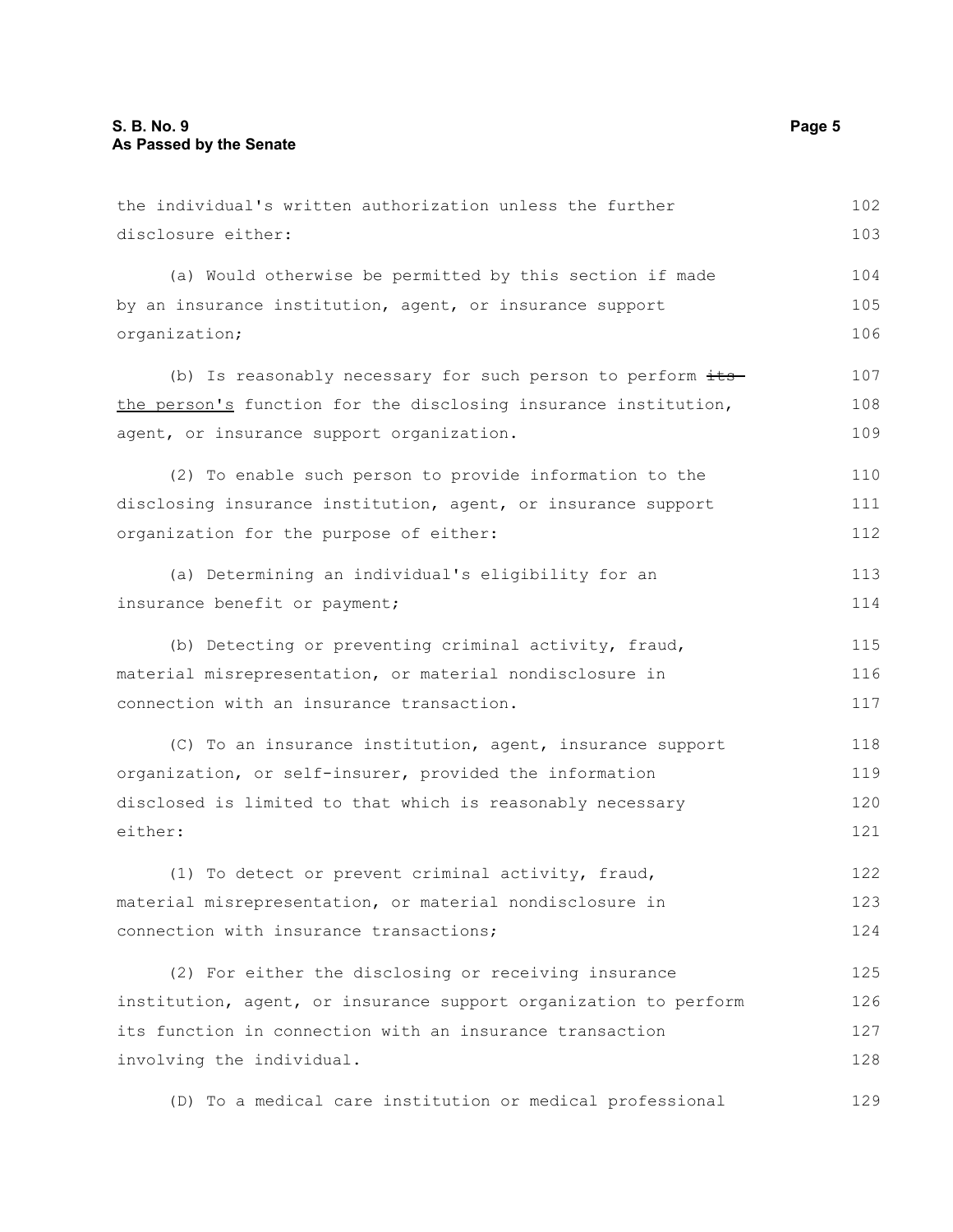| the individual's written authorization unless the further        | 102 |
|------------------------------------------------------------------|-----|
| disclosure either:                                               | 103 |
| (a) Would otherwise be permitted by this section if made         | 104 |
| by an insurance institution, agent, or insurance support         | 105 |
| organization;                                                    | 106 |
| (b) Is reasonably necessary for such person to perform its-      | 107 |
| the person's function for the disclosing insurance institution,  |     |
| agent, or insurance support organization.                        | 109 |
| (2) To enable such person to provide information to the          | 110 |
| disclosing insurance institution, agent, or insurance support    | 111 |
| organization for the purpose of either:                          | 112 |
| (a) Determining an individual's eligibility for an               | 113 |
| insurance benefit or payment;                                    | 114 |
| (b) Detecting or preventing criminal activity, fraud,            | 115 |
| material misrepresentation, or material nondisclosure in         | 116 |
| connection with an insurance transaction.                        | 117 |
| (C) To an insurance institution, agent, insurance support        | 118 |
| organization, or self-insurer, provided the information          | 119 |
| disclosed is limited to that which is reasonably necessary       | 120 |
| either:                                                          | 121 |
| (1) To detect or prevent criminal activity, fraud,               | 122 |
| material misrepresentation, or material nondisclosure in         | 123 |
| connection with insurance transactions;                          | 124 |
| (2) For either the disclosing or receiving insurance             | 125 |
| institution, agent, or insurance support organization to perform | 126 |
| its function in connection with an insurance transaction         | 127 |
| involving the individual.                                        | 128 |
| (D) To a medical care institution or medical professional        | 129 |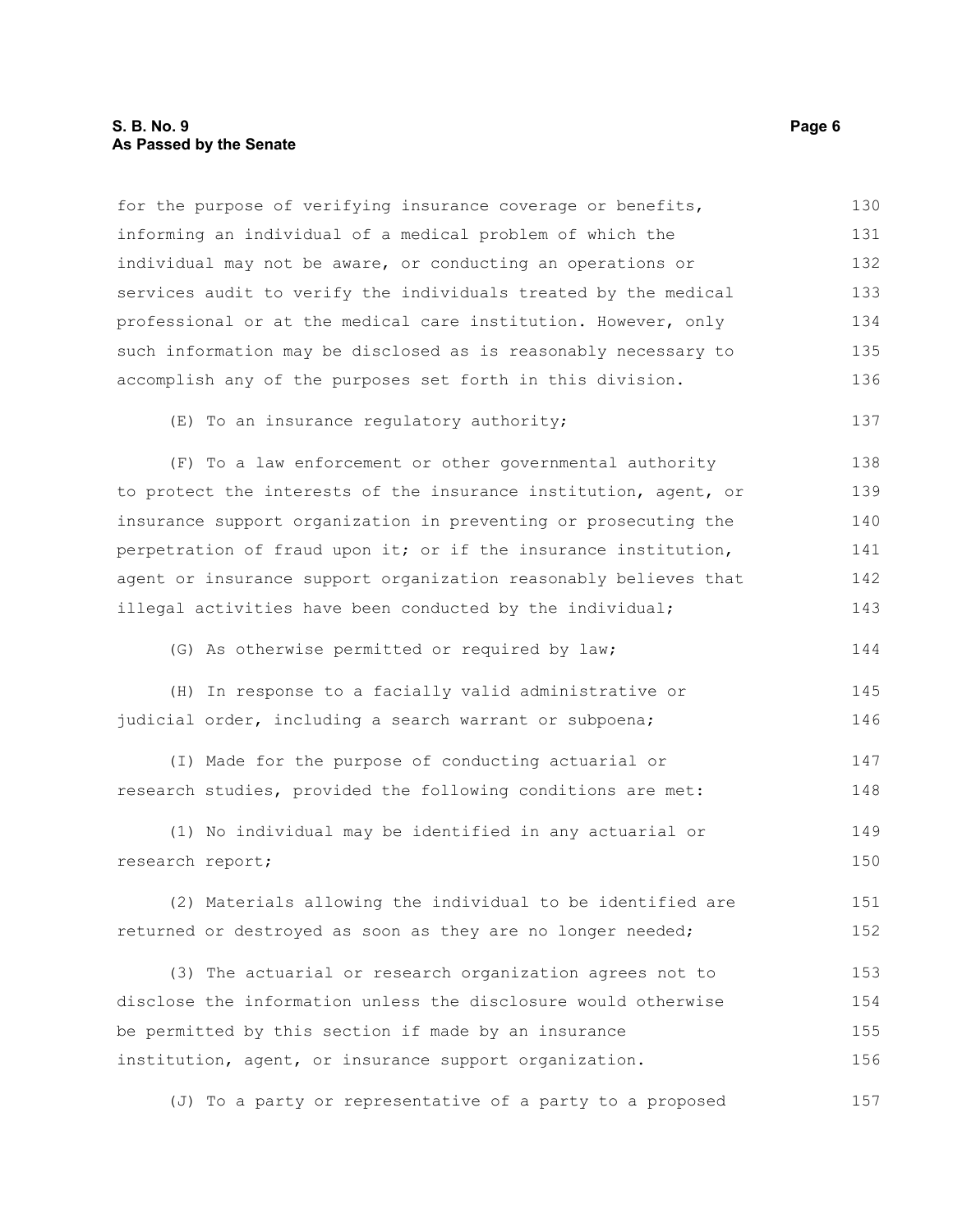#### **S. B. No. 9 Page 6 As Passed by the Senate**

for the purpose of verifying insurance coverage or benefits, informing an individual of a medical problem of which the individual may not be aware, or conducting an operations or services audit to verify the individuals treated by the medical professional or at the medical care institution. However, only such information may be disclosed as is reasonably necessary to accomplish any of the purposes set forth in this division. (E) To an insurance regulatory authority; (F) To a law enforcement or other governmental authority to protect the interests of the insurance institution, agent, or insurance support organization in preventing or prosecuting the perpetration of fraud upon it; or if the insurance institution, agent or insurance support organization reasonably believes that illegal activities have been conducted by the individual; (G) As otherwise permitted or required by law; (H) In response to a facially valid administrative or judicial order, including a search warrant or subpoena; (I) Made for the purpose of conducting actuarial or research studies, provided the following conditions are met: (1) No individual may be identified in any actuarial or research report; (2) Materials allowing the individual to be identified are returned or destroyed as soon as they are no longer needed; (3) The actuarial or research organization agrees not to disclose the information unless the disclosure would otherwise be permitted by this section if made by an insurance institution, agent, or insurance support organization. (J) To a party or representative of a party to a proposed 130 131 132 133 134 135 136 137 138 139 140 141 142 143 144 145 146 147 148 149 150 151 152 153 154 155 156 157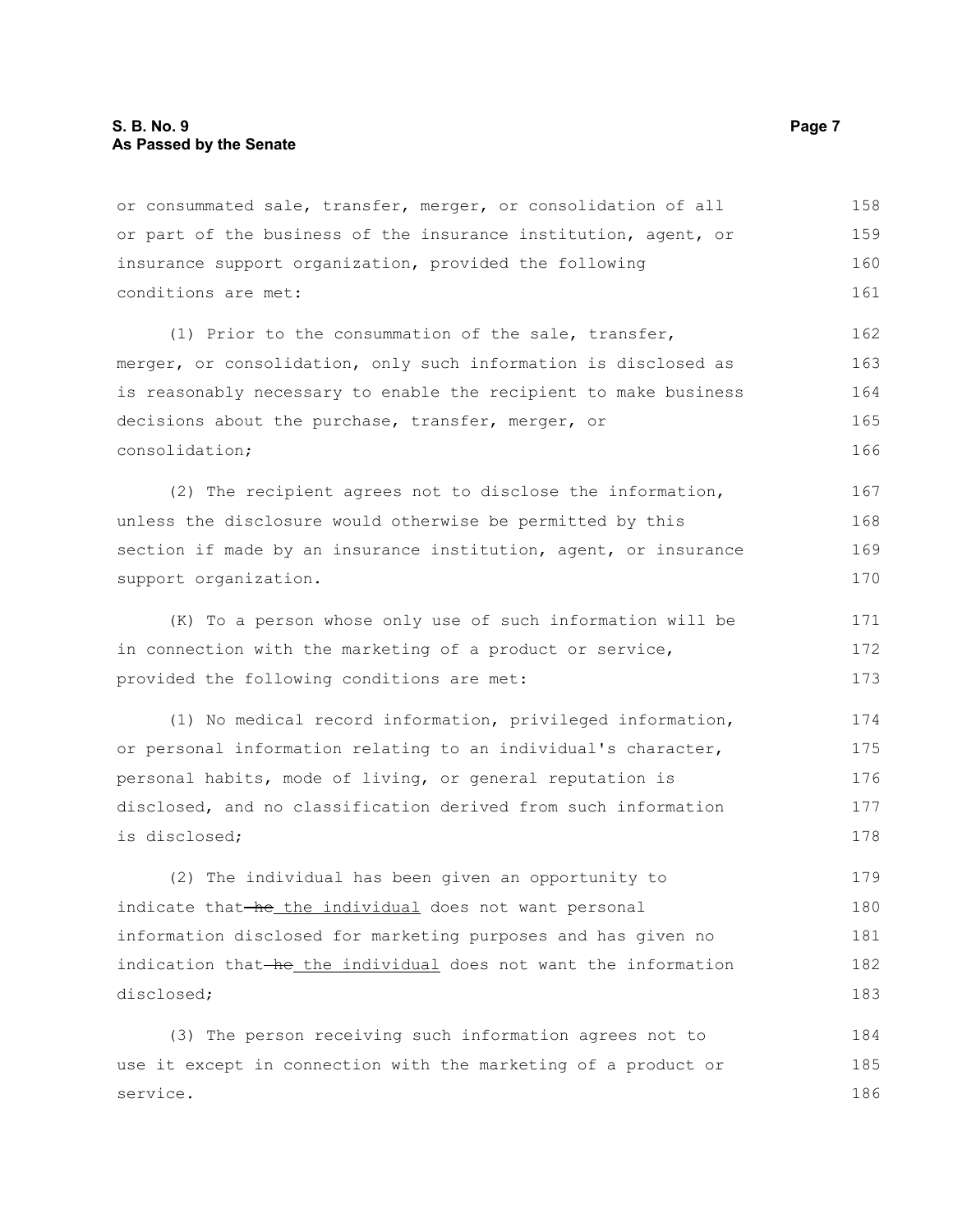#### **S. B. No. 9 Page 7 As Passed by the Senate**

or consummated sale, transfer, merger, or consolidation of all or part of the business of the insurance institution, agent, or insurance support organization, provided the following conditions are met: 158 159 160 161

(1) Prior to the consummation of the sale, transfer, merger, or consolidation, only such information is disclosed as is reasonably necessary to enable the recipient to make business decisions about the purchase, transfer, merger, or consolidation; 162 163 164 165 166

(2) The recipient agrees not to disclose the information, unless the disclosure would otherwise be permitted by this section if made by an insurance institution, agent, or insurance support organization.

(K) To a person whose only use of such information will be in connection with the marketing of a product or service, provided the following conditions are met: 171 172 173

(1) No medical record information, privileged information, or personal information relating to an individual's character, personal habits, mode of living, or general reputation is disclosed, and no classification derived from such information is disclosed; 174 175 176 177 178

(2) The individual has been given an opportunity to indicate that-he the individual does not want personal information disclosed for marketing purposes and has given no indication that he the individual does not want the information disclosed; 179 180 181 182 183

(3) The person receiving such information agrees not to use it except in connection with the marketing of a product or service. 184 185 186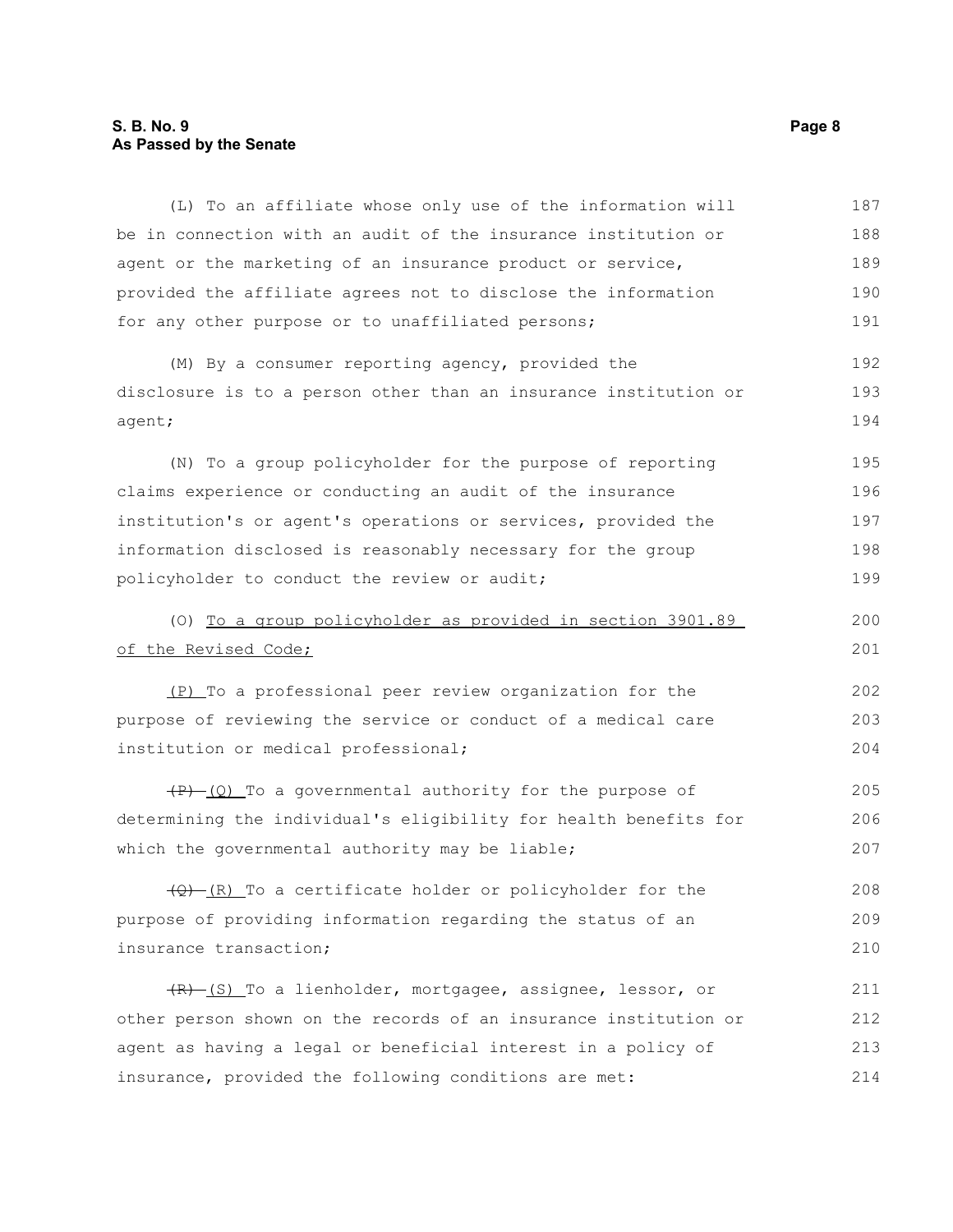### **S. B. No. 9 Page 8 As Passed by the Senate**

| (L) To an affiliate whose only use of the information will        | 187 |
|-------------------------------------------------------------------|-----|
| be in connection with an audit of the insurance institution or    | 188 |
| agent or the marketing of an insurance product or service,        | 189 |
| provided the affiliate agrees not to disclose the information     | 190 |
| for any other purpose or to unaffiliated persons;                 | 191 |
| (M) By a consumer reporting agency, provided the                  | 192 |
| disclosure is to a person other than an insurance institution or  |     |
| agent;                                                            | 194 |
| (N) To a group policyholder for the purpose of reporting          | 195 |
| claims experience or conducting an audit of the insurance         | 196 |
| institution's or agent's operations or services, provided the     | 197 |
| information disclosed is reasonably necessary for the group       | 198 |
| policyholder to conduct the review or audit;                      | 199 |
| (0) To a group policyholder as provided in section 3901.89        | 200 |
| of the Revised Code;                                              | 201 |
| (P) To a professional peer review organization for the            | 202 |
| purpose of reviewing the service or conduct of a medical care     | 203 |
| institution or medical professional;                              | 204 |
| $(P)$ (Q) To a governmental authority for the purpose of          | 205 |
| determining the individual's eligibility for health benefits for  | 206 |
| which the governmental authority may be liable;                   | 207 |
| $\frac{1}{2}$ (R) To a certificate holder or policyholder for the | 208 |
| purpose of providing information regarding the status of an       | 209 |
| insurance transaction;                                            | 210 |
| (R) (S) To a lienholder, mortgagee, assignee, lessor, or          | 211 |
| other person shown on the records of an insurance institution or  | 212 |
| agent as having a legal or beneficial interest in a policy of     | 213 |
| insurance, provided the following conditions are met:             | 214 |